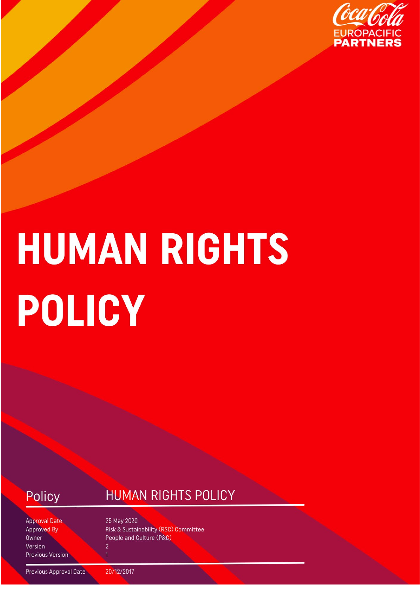

# **HUMAN RIGHTS** POLICY

Policy

### **HUMAN RIGHTS POLICY**

**Approval Date Approved By** Owner Version **Previous Version**  25 May 2020 **Risk & Sustainability (RSC) Committee** People and Culture (P&C)  $\overline{2}$ 

Previous Approval Date

20/12/2017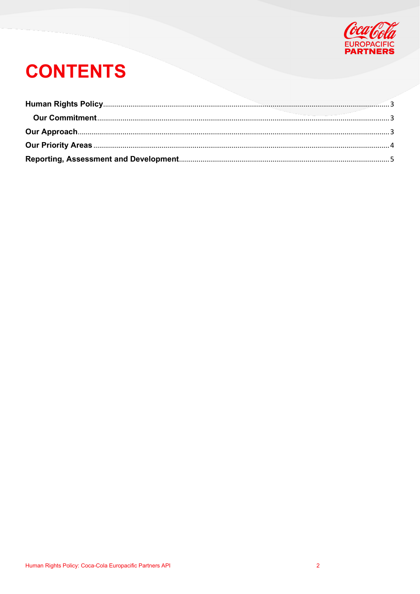

# **CONTENTS**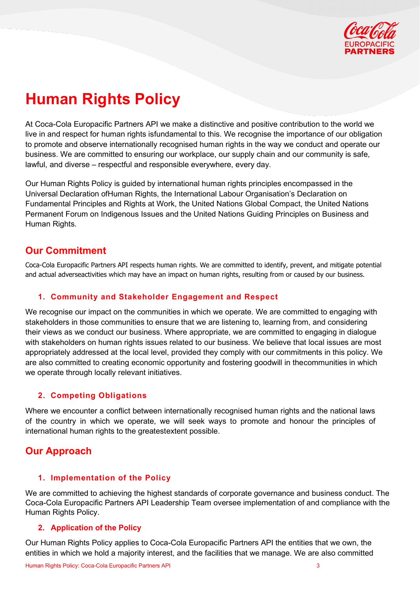

## <span id="page-2-0"></span>**Human Rights Policy**

At Coca-Cola Europacific Partners API we make a distinctive and positive contribution to the world we live in and respect for human rights isfundamental to this. We recognise the importance of our obligation to promote and observe internationally recognised human rights in the way we conduct and operate our business. We are committed to ensuring our workplace, our supply chain and our community is safe, lawful, and diverse – respectful and responsible everywhere, every day.

Our Human Rights Policy is guided by international human rights principles encompassed in the Universal Declaration ofHuman Rights, the International Labour Organisation's Declaration on Fundamental Principles and Rights at Work, the United Nations Global Compact, the United Nations Permanent Forum on Indigenous Issues and the United Nations Guiding Principles on Business and Human Rights.

#### <span id="page-2-1"></span>**Our Commitment**

Coca-Cola Europacific Partners API respects human rights. We are committed to identify, prevent, and mitigate potential and actual adverseactivities which may have an impact on human rights, resulting from or caused by our business.

#### **1. Community and Stakeholder Engagement and Respect**

We recognise our impact on the communities in which we operate. We are committed to engaging with stakeholders in those communities to ensure that we are listening to, learning from, and considering their views as we conduct our business. Where appropriate, we are committed to engaging in dialogue with stakeholders on human rights issues related to our business. We believe that local issues are most appropriately addressed at the local level, provided they comply with our commitments in this policy. We are also committed to creating economic opportunity and fostering goodwill in thecommunities in which we operate through locally relevant initiatives.

#### **2. Competing Obligations**

Where we encounter a conflict between internationally recognised human rights and the national laws of the country in which we operate, we will seek ways to promote and honour the principles of international human rights to the greatestextent possible.

#### <span id="page-2-2"></span>**Our Approach**

#### **1. Implementation of the Policy**

We are committed to achieving the highest standards of corporate governance and business conduct. The Coca-Cola Europacific Partners API Leadership Team oversee implementation of and compliance with the Human Rights Policy.

#### **2. Application of the Policy**

Our Human Rights Policy applies to Coca-Cola Europacific Partners API the entities that we own, the entities in which we hold a majority interest, and the facilities that we manage. We are also committed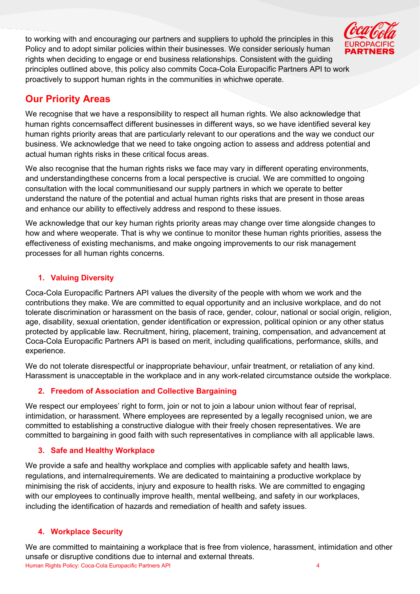to working with and encouraging our partners and suppliers to uphold the principles in this Policy and to adopt similar policies within their businesses. We consider seriously human rights when deciding to engage or end business relationships. Consistent with the guiding principles outlined above, this policy also commits Coca-Cola Europacific Partners API to work proactively to support human rights in the communities in whichwe operate.

#### <span id="page-3-0"></span>**Our Priority Areas**

We recognise that we have a responsibility to respect all human rights. We also acknowledge that human rights concernsaffect different businesses in different ways, so we have identified several key human rights priority areas that are particularly relevant to our operations and the way we conduct our business. We acknowledge that we need to take ongoing action to assess and address potential and actual human rights risks in these critical focus areas.

We also recognise that the human rights risks we face may vary in different operating environments, and understandingthese concerns from a local perspective is crucial. We are committed to ongoing consultation with the local communitiesand our supply partners in which we operate to better understand the nature of the potential and actual human rights risks that are present in those areas and enhance our ability to effectively address and respond to these issues.

We acknowledge that our key human rights priority areas may change over time alongside changes to how and where weoperate. That is why we continue to monitor these human rights priorities, assess the effectiveness of existing mechanisms, and make ongoing improvements to our risk management processes for all human rights concerns.

#### **1. Valuing Diversity**

Coca-Cola Europacific Partners API values the diversity of the people with whom we work and the contributions they make. We are committed to equal opportunity and an inclusive workplace, and do not tolerate discrimination or harassment on the basis of race, gender, colour, national or social origin, religion, age, disability, sexual orientation, gender identification or expression, political opinion or any other status protected by applicable law. Recruitment, hiring, placement, training, compensation, and advancement at Coca-Cola Europacific Partners API is based on merit, including qualifications, performance, skills, and experience.

We do not tolerate disrespectful or inappropriate behaviour, unfair treatment, or retaliation of any kind. Harassment is unacceptable in the workplace and in any work-related circumstance outside the workplace.

#### **2. Freedom of Association and Collective Bargaining**

We respect our employees' right to form, join or not to join a labour union without fear of reprisal, intimidation, or harassment. Where employees are represented by a legally recognised union, we are committed to establishing a constructive dialogue with their freely chosen representatives. We are committed to bargaining in good faith with such representatives in compliance with all applicable laws.

#### **3. Safe and Healthy Workplace**

We provide a safe and healthy workplace and complies with applicable safety and health laws, regulations, and internalrequirements. We are dedicated to maintaining a productive workplace by minimising the risk of accidents, injury and exposure to health risks. We are committed to engaging with our employees to continually improve health, mental wellbeing, and safety in our workplaces, including the identification of hazards and remediation of health and safety issues.

#### **4. Workplace Security**

Human Rights Policy: Coca-Cola Europacific Partners API 4 We are committed to maintaining a workplace that is free from violence, harassment, intimidation and other unsafe or disruptive conditions due to internal and external threats.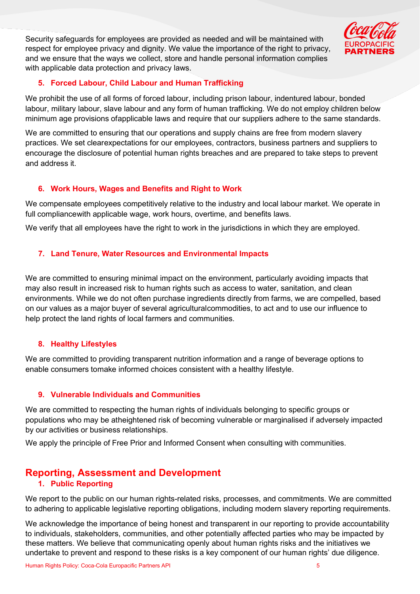Security safeguards for employees are provided as needed and will be maintained with respect for employee privacy and dignity. We value the importance of the right to privacy, and we ensure that the ways we collect, store and handle personal information complies with applicable data protection and privacy laws.

#### **5. Forced Labour, Child Labour and Human Trafficking**

We prohibit the use of all forms of forced labour, including prison labour, indentured labour, bonded labour, military labour, slave labour and any form of human trafficking. We do not employ children below minimum age provisions ofapplicable laws and require that our suppliers adhere to the same standards.

We are committed to ensuring that our operations and supply chains are free from modern slavery practices. We set clearexpectations for our employees, contractors, business partners and suppliers to encourage the disclosure of potential human rights breaches and are prepared to take steps to prevent and address it.

#### **6. Work Hours, Wages and Benefits and Right to Work**

We compensate employees competitively relative to the industry and local labour market. We operate in full compliancewith applicable wage, work hours, overtime, and benefits laws.

We verify that all employees have the right to work in the jurisdictions in which they are employed.

#### **7. Land Tenure, Water Resources and Environmental Impacts**

We are committed to ensuring minimal impact on the environment, particularly avoiding impacts that may also result in increased risk to human rights such as access to water, sanitation, and clean environments. While we do not often purchase ingredients directly from farms, we are compelled, based on our values as a major buyer of several agriculturalcommodities, to act and to use our influence to help protect the land rights of local farmers and communities.

#### **8. Healthy Lifestyles**

We are committed to providing transparent nutrition information and a range of beverage options to enable consumers tomake informed choices consistent with a healthy lifestyle.

#### **9. Vulnerable Individuals and Communities**

We are committed to respecting the human rights of individuals belonging to specific groups or populations who may be atheightened risk of becoming vulnerable or marginalised if adversely impacted by our activities or business relationships.

We apply the principle of Free Prior and Informed Consent when consulting with communities.

#### <span id="page-4-0"></span>**Reporting, Assessment and Development**

#### **1. Public Reporting**

We report to the public on our human rights-related risks, processes, and commitments. We are committed to adhering to applicable legislative reporting obligations, including modern slavery reporting requirements.

We acknowledge the importance of being honest and transparent in our reporting to provide accountability to individuals, stakeholders, communities, and other potentially affected parties who may be impacted by these matters. We believe that communicating openly about human rights risks and the initiatives we undertake to prevent and respond to these risks is a key component of our human rights' due diligence.